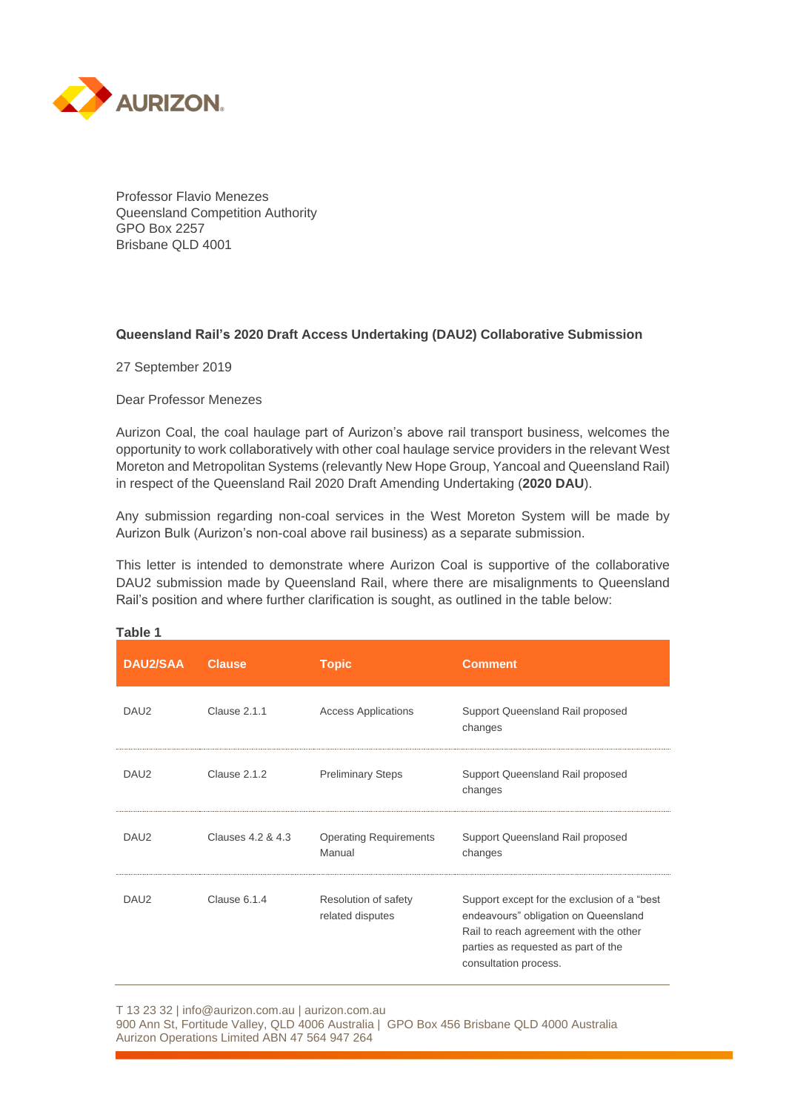

Professor Flavio Menezes Queensland Competition Authority GPO Box 2257 Brisbane QLD 4001

## **Queensland Rail's 2020 Draft Access Undertaking (DAU2) Collaborative Submission**

27 September 2019

Dear Professor Menezes

Aurizon Coal, the coal haulage part of Aurizon's above rail transport business, welcomes the opportunity to work collaboratively with other coal haulage service providers in the relevant West Moreton and Metropolitan Systems (relevantly New Hope Group, Yancoal and Queensland Rail) in respect of the Queensland Rail 2020 Draft Amending Undertaking (**2020 DAU**).

Any submission regarding non-coal services in the West Moreton System will be made by Aurizon Bulk (Aurizon's non-coal above rail business) as a separate submission.

This letter is intended to demonstrate where Aurizon Coal is supportive of the collaborative DAU2 submission made by Queensland Rail, where there are misalignments to Queensland Rail's position and where further clarification is sought, as outlined in the table below:

| <b>DAU2/SAA</b>  | <b>Clause</b>     | <b>Topic</b>                             | <b>Comment</b>                                                                                                                                                                                 |
|------------------|-------------------|------------------------------------------|------------------------------------------------------------------------------------------------------------------------------------------------------------------------------------------------|
| DAU <sub>2</sub> | Clause 2.1.1      | <b>Access Applications</b>               | Support Queensland Rail proposed<br>changes                                                                                                                                                    |
| DAU <sub>2</sub> | Clause 2.1.2      | <b>Preliminary Steps</b>                 | Support Queensland Rail proposed<br>changes                                                                                                                                                    |
| DAU <sub>2</sub> | Clauses 4.2 & 4.3 | <b>Operating Requirements</b><br>Manual  | Support Queensland Rail proposed<br>changes                                                                                                                                                    |
| DAU <sub>2</sub> | Clause 6.1.4      | Resolution of safety<br>related disputes | Support except for the exclusion of a "best"<br>endeavours" obligation on Queensland<br>Rail to reach agreement with the other<br>parties as requested as part of the<br>consultation process. |

**Table 1**

T 13 23 32 | info@aurizon.com.au | aurizon.com.au 900 Ann St, Fortitude Valley, QLD 4006 Australia | GPO Box 456 Brisbane QLD 4000 Australia Aurizon Operations Limited ABN 47 564 947 264